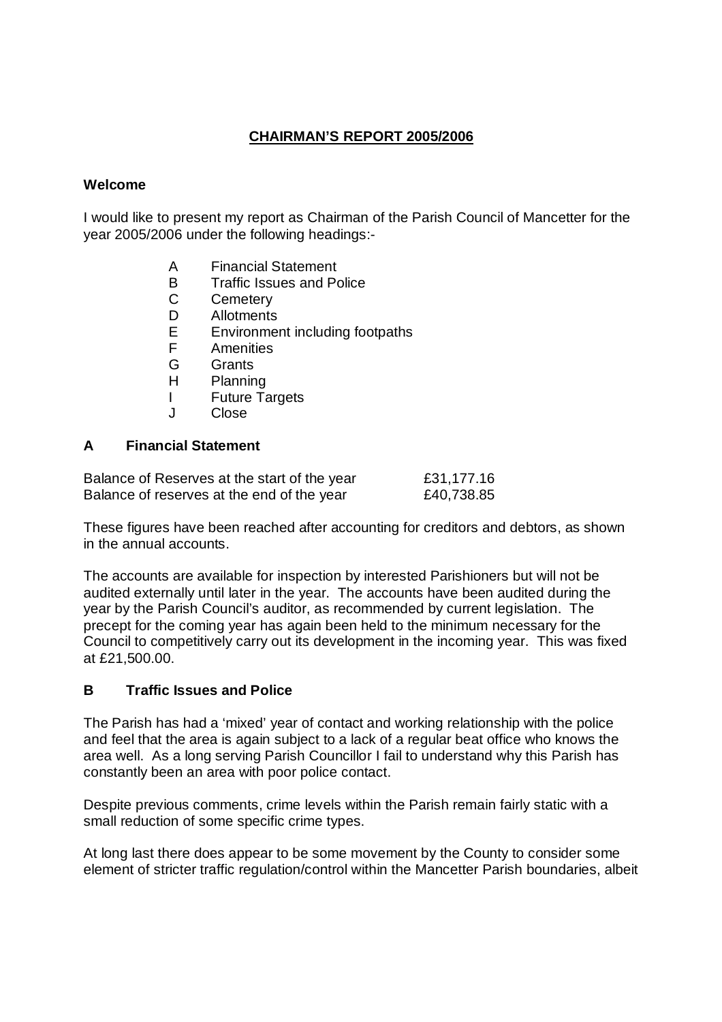# **CHAIRMAN'S REPORT 2005/2006**

#### **Welcome**

I would like to present my report as Chairman of the Parish Council of Mancetter for the year 2005/2006 under the following headings:-

- A Financial Statement
- B Traffic Issues and Police<br>C Cemeterv
- **Cemetery**
- D Allotments
- E Environment including footpaths
- F Amenities
- G Grants
- H Planning
- I Future Targets
- J Close

#### **A Financial Statement**

| Balance of Reserves at the start of the year | £31,177.16 |
|----------------------------------------------|------------|
| Balance of reserves at the end of the year   | £40,738.85 |

These figures have been reached after accounting for creditors and debtors, as shown in the annual accounts.

The accounts are available for inspection by interested Parishioners but will not be audited externally until later in the year. The accounts have been audited during the year by the Parish Council's auditor, as recommended by current legislation. The precept for the coming year has again been held to the minimum necessary for the Council to competitively carry out its development in the incoming year. This was fixed at £21,500.00.

#### **B Traffic Issues and Police**

The Parish has had a 'mixed' year of contact and working relationship with the police and feel that the area is again subject to a lack of a regular beat office who knows the area well. As a long serving Parish Councillor I fail to understand why this Parish has constantly been an area with poor police contact.

Despite previous comments, crime levels within the Parish remain fairly static with a small reduction of some specific crime types.

At long last there does appear to be some movement by the County to consider some element of stricter traffic regulation/control within the Mancetter Parish boundaries, albeit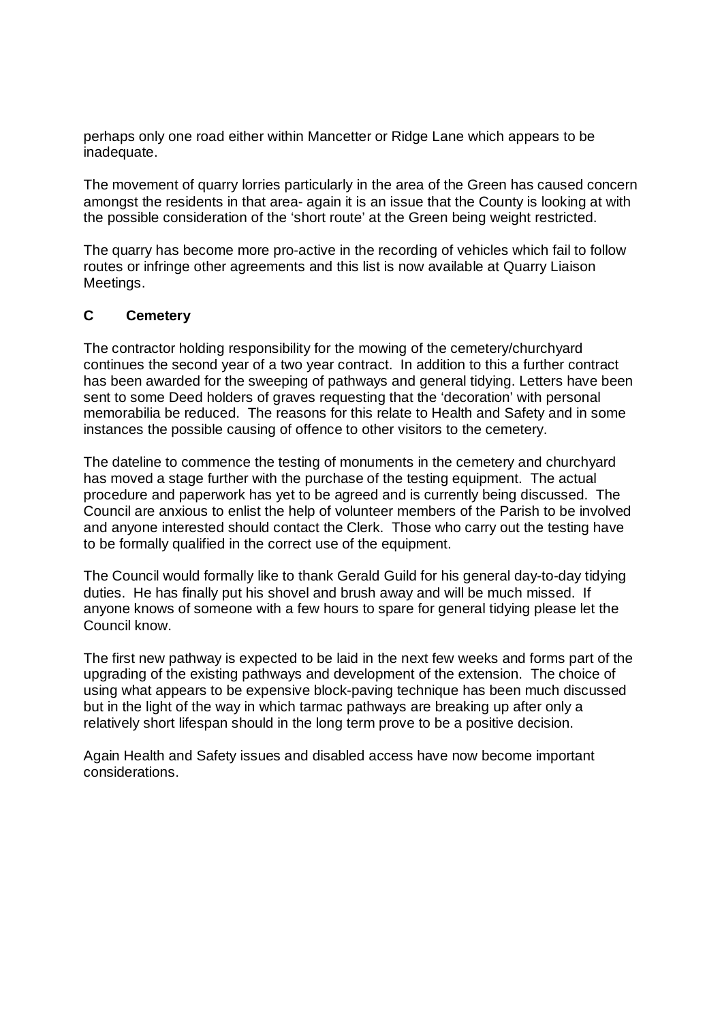perhaps only one road either within Mancetter or Ridge Lane which appears to be inadequate.

The movement of quarry lorries particularly in the area of the Green has caused concern amongst the residents in that area- again it is an issue that the County is looking at with the possible consideration of the 'short route' at the Green being weight restricted.

The quarry has become more pro-active in the recording of vehicles which fail to follow routes or infringe other agreements and this list is now available at Quarry Liaison Meetings.

#### **C Cemetery**

The contractor holding responsibility for the mowing of the cemetery/churchyard continues the second year of a two year contract. In addition to this a further contract has been awarded for the sweeping of pathways and general tidying. Letters have been sent to some Deed holders of graves requesting that the 'decoration' with personal memorabilia be reduced. The reasons for this relate to Health and Safety and in some instances the possible causing of offence to other visitors to the cemetery.

The dateline to commence the testing of monuments in the cemetery and churchyard has moved a stage further with the purchase of the testing equipment. The actual procedure and paperwork has yet to be agreed and is currently being discussed. The Council are anxious to enlist the help of volunteer members of the Parish to be involved and anyone interested should contact the Clerk. Those who carry out the testing have to be formally qualified in the correct use of the equipment.

The Council would formally like to thank Gerald Guild for his general day-to-day tidying duties. He has finally put his shovel and brush away and will be much missed. If anyone knows of someone with a few hours to spare for general tidying please let the Council know.

The first new pathway is expected to be laid in the next few weeks and forms part of the upgrading of the existing pathways and development of the extension. The choice of using what appears to be expensive block-paving technique has been much discussed but in the light of the way in which tarmac pathways are breaking up after only a relatively short lifespan should in the long term prove to be a positive decision.

Again Health and Safety issues and disabled access have now become important considerations.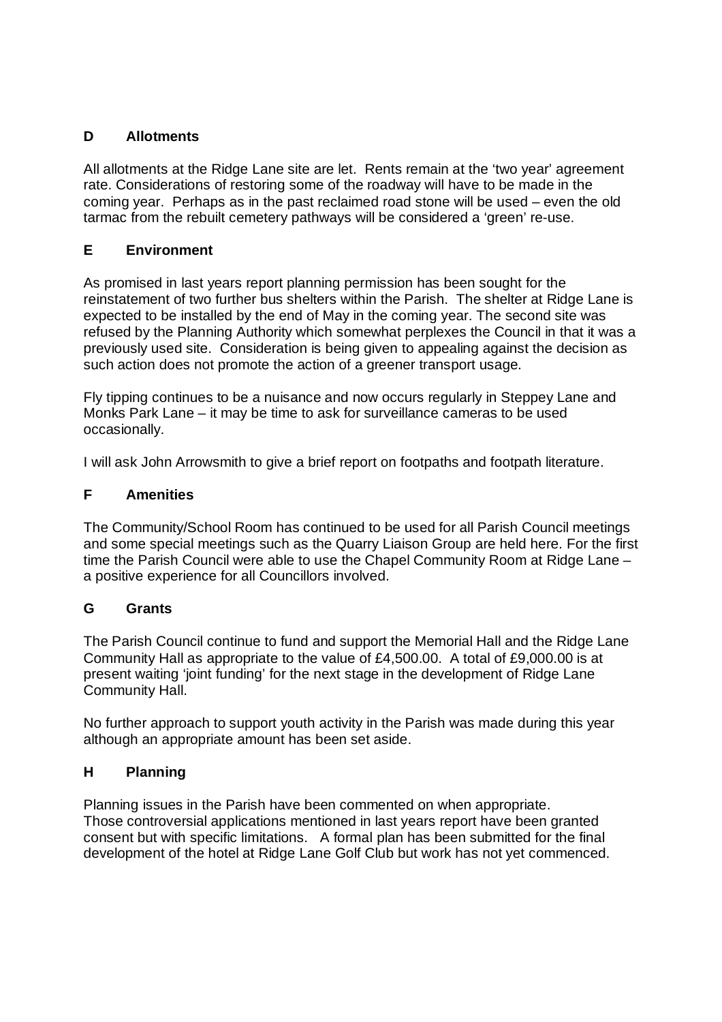# **D Allotments**

All allotments at the Ridge Lane site are let. Rents remain at the 'two year' agreement rate. Considerations of restoring some of the roadway will have to be made in the coming year. Perhaps as in the past reclaimed road stone will be used – even the old tarmac from the rebuilt cemetery pathways will be considered a 'green' re-use.

## **E Environment**

As promised in last years report planning permission has been sought for the reinstatement of two further bus shelters within the Parish. The shelter at Ridge Lane is expected to be installed by the end of May in the coming year. The second site was refused by the Planning Authority which somewhat perplexes the Council in that it was a previously used site. Consideration is being given to appealing against the decision as such action does not promote the action of a greener transport usage.

Fly tipping continues to be a nuisance and now occurs regularly in Steppey Lane and Monks Park Lane – it may be time to ask for surveillance cameras to be used occasionally.

I will ask John Arrowsmith to give a brief report on footpaths and footpath literature.

### **F Amenities**

The Community/School Room has continued to be used for all Parish Council meetings and some special meetings such as the Quarry Liaison Group are held here. For the first time the Parish Council were able to use the Chapel Community Room at Ridge Lane – a positive experience for all Councillors involved.

### **G Grants**

The Parish Council continue to fund and support the Memorial Hall and the Ridge Lane Community Hall as appropriate to the value of £4,500.00. A total of £9,000.00 is at present waiting 'joint funding' for the next stage in the development of Ridge Lane Community Hall.

No further approach to support youth activity in the Parish was made during this year although an appropriate amount has been set aside.

### **H Planning**

Planning issues in the Parish have been commented on when appropriate. Those controversial applications mentioned in last years report have been granted consent but with specific limitations. A formal plan has been submitted for the final development of the hotel at Ridge Lane Golf Club but work has not yet commenced.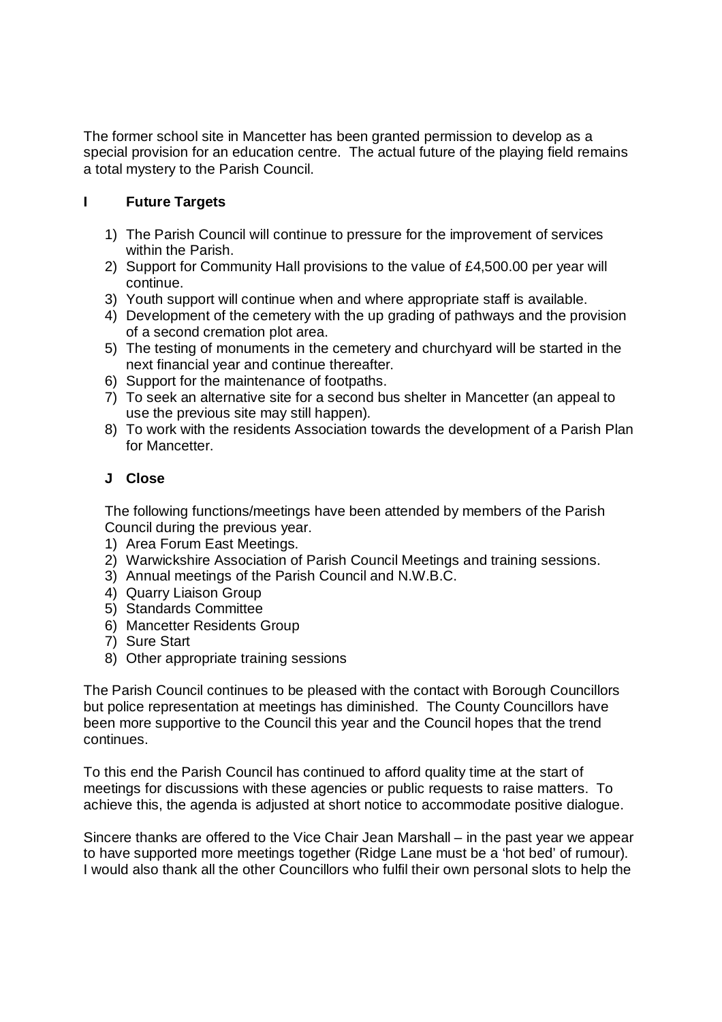The former school site in Mancetter has been granted permission to develop as a special provision for an education centre. The actual future of the playing field remains a total mystery to the Parish Council.

# **I Future Targets**

- 1) The Parish Council will continue to pressure for the improvement of services within the Parish.
- 2) Support for Community Hall provisions to the value of £4,500.00 per year will continue.
- 3) Youth support will continue when and where appropriate staff is available.
- 4) Development of the cemetery with the up grading of pathways and the provision of a second cremation plot area.
- 5) The testing of monuments in the cemetery and churchyard will be started in the next financial year and continue thereafter.
- 6) Support for the maintenance of footpaths.
- 7) To seek an alternative site for a second bus shelter in Mancetter (an appeal to use the previous site may still happen).
- 8) To work with the residents Association towards the development of a Parish Plan for Mancetter.

## **J Close**

The following functions/meetings have been attended by members of the Parish Council during the previous year.

- 1) Area Forum East Meetings.
- 2) Warwickshire Association of Parish Council Meetings and training sessions.
- 3) Annual meetings of the Parish Council and N.W.B.C.
- 4) Quarry Liaison Group
- 5) Standards Committee
- 6) Mancetter Residents Group
- 7) Sure Start
- 8) Other appropriate training sessions

The Parish Council continues to be pleased with the contact with Borough Councillors but police representation at meetings has diminished. The County Councillors have been more supportive to the Council this year and the Council hopes that the trend continues.

To this end the Parish Council has continued to afford quality time at the start of meetings for discussions with these agencies or public requests to raise matters. To achieve this, the agenda is adjusted at short notice to accommodate positive dialogue.

Sincere thanks are offered to the Vice Chair Jean Marshall – in the past year we appear to have supported more meetings together (Ridge Lane must be a 'hot bed' of rumour). I would also thank all the other Councillors who fulfil their own personal slots to help the